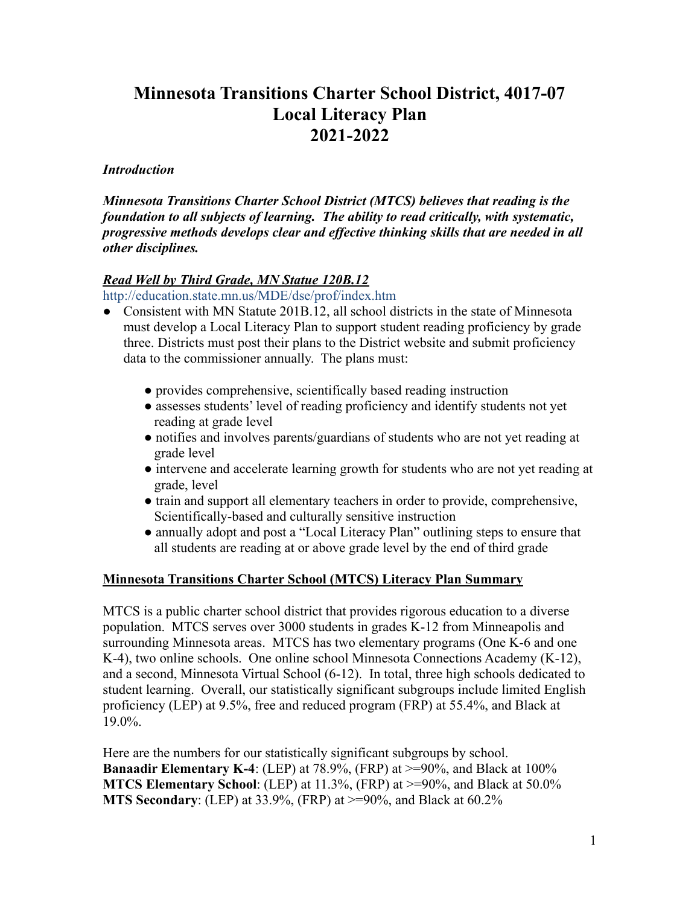## **Minnesota Transitions Charter School District, 4017-07 Local Literacy Plan 2021-2022**

### *Introduction*

*Minnesota Transitions Charter School District (MTCS) believes that reading is the foundation to all subjects of learning. The ability to read critically, with systematic, progressive methods develops clear and effective thinking skills that are needed in all other disciplines.*

### *Read Well by Third Grade, MN Statue 120B.12*

<http://education.state.mn.us/MDE/dse/prof/index.htm>

- Consistent with MN Statute 201B.12, all school districts in the state of Minnesota must develop a Local Literacy Plan to support student reading proficiency by grade three. Districts must post their plans to the District website and submit proficiency data to the commissioner annually. The plans must:
	- provides comprehensive, scientifically based reading instruction
	- assesses students' level of reading proficiency and identify students not yet reading at grade level
	- notifies and involves parents/guardians of students who are not yet reading at grade level
	- intervene and accelerate learning growth for students who are not yet reading at grade, level
	- train and support all elementary teachers in order to provide, comprehensive, Scientifically-based and culturally sensitive instruction
	- annually adopt and post a "Local Literacy Plan" outlining steps to ensure that all students are reading at or above grade level by the end of third grade

### **Minnesota Transitions Charter School (MTCS) Literacy Plan Summary**

MTCS is a public charter school district that provides rigorous education to a diverse population. MTCS serves over 3000 students in grades K-12 from Minneapolis and surrounding Minnesota areas. MTCS has two elementary programs (One K-6 and one K-4), two online schools. One online school Minnesota Connections Academy (K-12), and a second, Minnesota Virtual School (6-12). In total, three high schools dedicated to student learning. Overall, our statistically significant subgroups include limited English proficiency (LEP) at 9.5%, free and reduced program (FRP) at 55.4%, and Black at 19.0%.

Here are the numbers for our statistically significant subgroups by school. **Banaadir Elementary K-4**: (LEP) at 78.9%, (FRP) at  $> = 90\%$ , and Black at 100% **MTCS Elementary School**: (LEP) at 11.3%, (FRP) at >=90%, and Black at 50.0% **MTS Secondary**: (LEP) at 33.9%, (FRP) at >=90%, and Black at 60.2%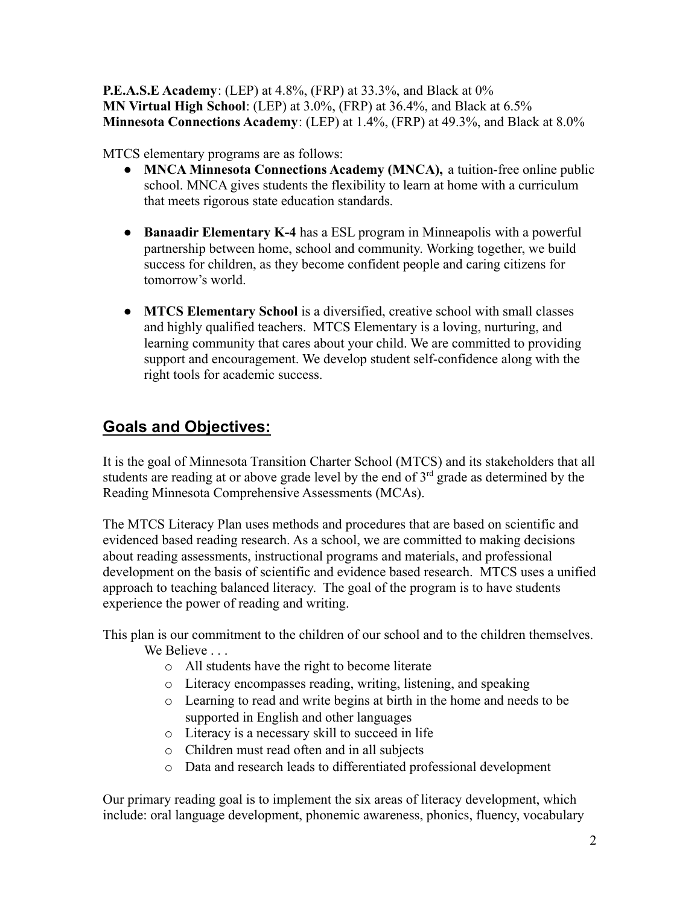**P.E.A.S.E Academy**: (LEP) at 4.8%, (FRP) at 33.3%, and Black at 0% **MN Virtual High School**: (LEP) at 3.0%, (FRP) at 36.4%, and Black at 6.5% **Minnesota Connections Academy**: (LEP) at 1.4%, (FRP) at 49.3%, and Black at 8.0%

MTCS elementary programs are as follows:

- **MNCA Minnesota Connections Academy (MNCA),** a tuition-free online public school. MNCA gives students the flexibility to learn at home with a curriculum that meets rigorous state education standards.
- **Banaadir Elementary K-4** has a ESL program in Minneapolis with a powerful partnership between home, school and community. Working together, we build success for children, as they become confident people and caring citizens for tomorrow's world.
- **[MTCS Elementary School](http://mtcs.org/schools/mts-elementary-school/)** is a diversified, creative school with small classes and highly qualified teachers. MTCS Elementary is a loving, nurturing, and learning community that cares about your child. We are committed to providing support and encouragement. We develop student self-confidence along with the right tools for academic success.

## **Goals and Objectives:**

It is the goal of Minnesota Transition Charter School (MTCS) and its stakeholders that all students are reading at or above grade level by the end of  $3<sup>rd</sup>$  grade as determined by the Reading Minnesota Comprehensive Assessments (MCAs).

The MTCS Literacy Plan uses methods and procedures that are based on scientific and evidenced based reading research. As a school, we are committed to making decisions about reading assessments, instructional programs and materials, and professional development on the basis of scientific and evidence based research. MTCS uses a unified approach to teaching balanced literacy. The goal of the program is to have students experience the power of reading and writing.

This plan is our commitment to the children of our school and to the children themselves. We Believe ...

- o All students have the right to become literate
- o Literacy encompasses reading, writing, listening, and speaking
- o Learning to read and write begins at birth in the home and needs to be supported in English and other languages
- o Literacy is a necessary skill to succeed in life
- o Children must read often and in all subjects
- o Data and research leads to differentiated professional development

Our primary reading goal is to implement the six areas of literacy development, which include: oral language development, phonemic awareness, phonics, fluency, vocabulary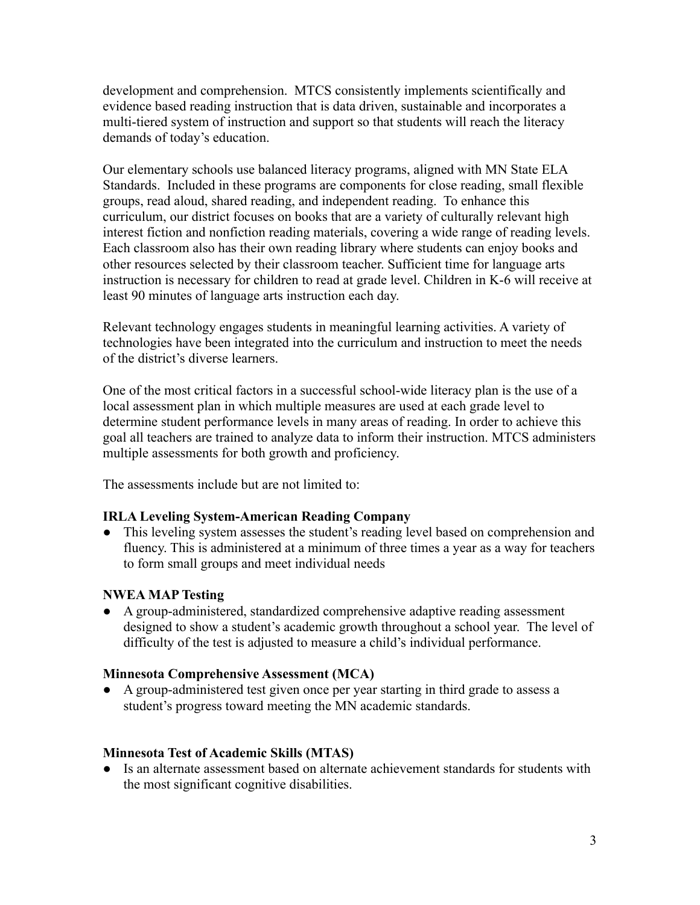development and comprehension. MTCS consistently implements scientifically and evidence based reading instruction that is data driven, sustainable and incorporates a multi-tiered system of instruction and support so that students will reach the literacy demands of today's education.

Our elementary schools use balanced literacy programs, aligned with MN State ELA Standards. Included in these programs are components for close reading, small flexible groups, read aloud, shared reading, and independent reading. To enhance this curriculum, our district focuses on books that are a variety of culturally relevant high interest fiction and nonfiction reading materials, covering a wide range of reading levels. Each classroom also has their own reading library where students can enjoy books and other resources selected by their classroom teacher. Sufficient time for language arts instruction is necessary for children to read at grade level. Children in K-6 will receive at least 90 minutes of language arts instruction each day.

Relevant technology engages students in meaningful learning activities. A variety of technologies have been integrated into the curriculum and instruction to meet the needs of the district's diverse learners.

One of the most critical factors in a successful school-wide literacy plan is the use of a local assessment plan in which multiple measures are used at each grade level to determine student performance levels in many areas of reading. In order to achieve this goal all teachers are trained to analyze data to inform their instruction. MTCS administers multiple assessments for both growth and proficiency.

The assessments include but are not limited to:

### **IRLA Leveling System-American Reading Company**

• This leveling system assesses the student's reading level based on comprehension and fluency. This is administered at a minimum of three times a year as a way for teachers to form small groups and meet individual needs

### **NWEA MAP Testing**

● A group-administered, standardized comprehensive adaptive reading assessment designed to show a student's academic growth throughout a school year. The level of difficulty of the test is adjusted to measure a child's individual performance.

### **Minnesota Comprehensive Assessment (MCA)**

● A group-administered test given once per year starting in third grade to assess a student's progress toward meeting the MN academic standards.

### **Minnesota Test of Academic Skills (MTAS)**

● Is an alternate assessment based on alternate achievement standards for students with the most significant cognitive disabilities.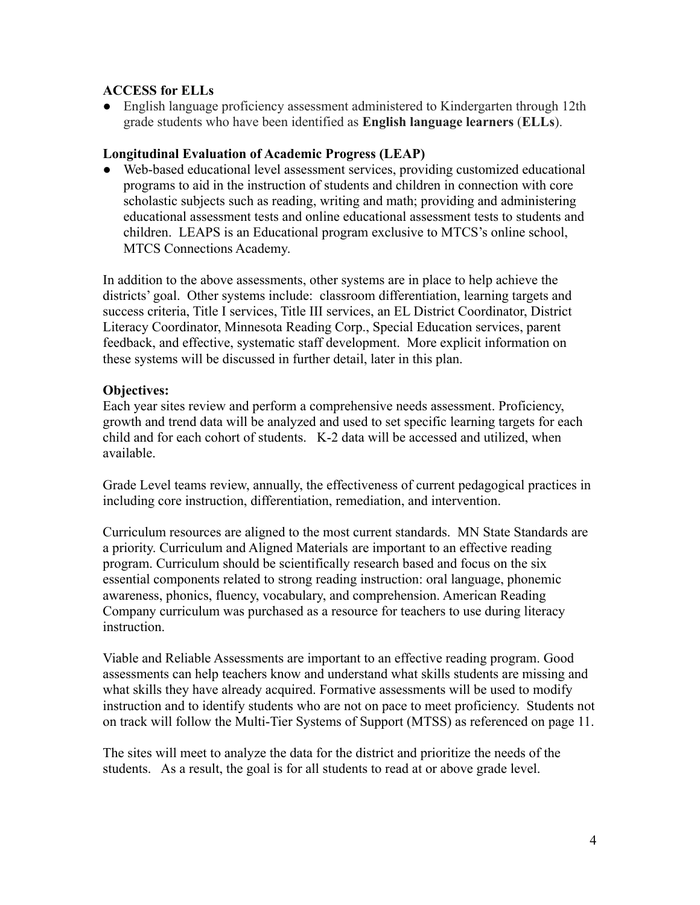### **ACCESS for ELLs**

● English language proficiency assessment administered to Kindergarten through 12th grade students who have been identified as **English language learners** (**ELLs**).

### **Longitudinal Evaluation of Academic Progress (LEAP)**

● Web-based educational level assessment services, providing customized educational programs to aid in the instruction of students and children in connection with core scholastic subjects such as reading, writing and math; providing and administering educational assessment tests and online educational assessment tests to students and children. LEAPS is an Educational program exclusive to MTCS's online school, MTCS Connections Academy.

In addition to the above assessments, other systems are in place to help achieve the districts' goal. Other systems include: classroom differentiation, learning targets and success criteria, Title I services, Title III services, an EL District Coordinator, District Literacy Coordinator, Minnesota Reading Corp., Special Education services, parent feedback, and effective, systematic staff development. More explicit information on these systems will be discussed in further detail, later in this plan.

### **Objectives:**

Each year sites review and perform a comprehensive needs assessment. Proficiency, growth and trend data will be analyzed and used to set specific learning targets for each child and for each cohort of students. K-2 data will be accessed and utilized, when available.

Grade Level teams review, annually, the effectiveness of current pedagogical practices in including core instruction, differentiation, remediation, and intervention.

Curriculum resources are aligned to the most current standards. MN State Standards are a priority. Curriculum and Aligned Materials are important to an effective reading program. Curriculum should be scientifically research based and focus on the six essential components related to strong reading instruction: oral language, phonemic awareness, phonics, fluency, vocabulary, and comprehension. American Reading Company curriculum was purchased as a resource for teachers to use during literacy instruction.

Viable and Reliable Assessments are important to an effective reading program. Good assessments can help teachers know and understand what skills students are missing and what skills they have already acquired. Formative assessments will be used to modify instruction and to identify students who are not on pace to meet proficiency. Students not on track will follow the Multi-Tier Systems of Support (MTSS) as referenced on page 11.

The sites will meet to analyze the data for the district and prioritize the needs of the students. As a result, the goal is for all students to read at or above grade level.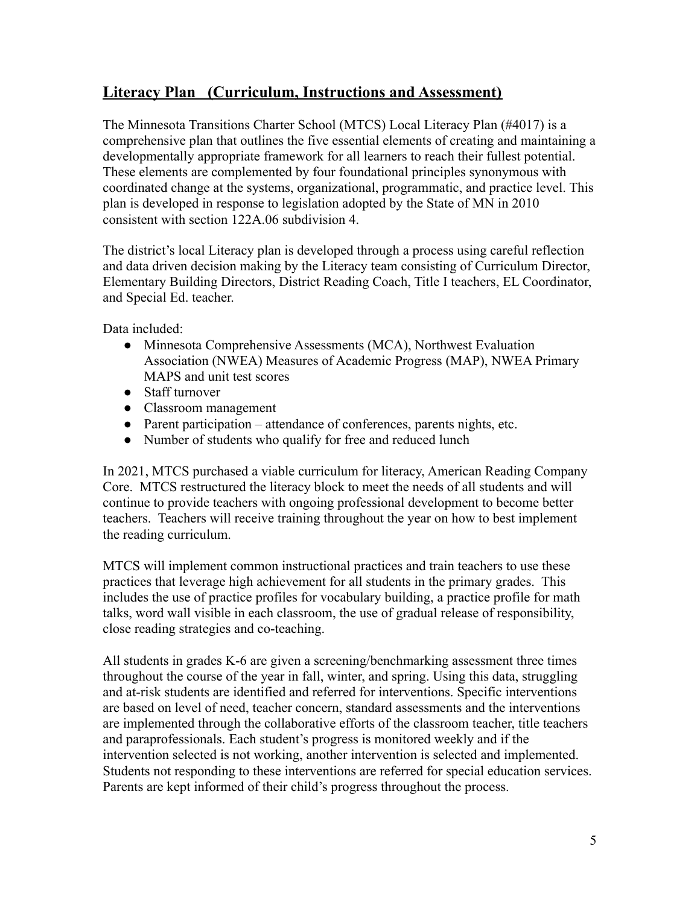## **Literacy Plan (Curriculum, Instructions and Assessment)**

The Minnesota Transitions Charter School (MTCS) Local Literacy Plan (#4017) is a comprehensive plan that outlines the five essential elements of creating and maintaining a developmentally appropriate framework for all learners to reach their fullest potential. These elements are complemented by four foundational principles synonymous with coordinated change at the systems, organizational, programmatic, and practice level. This plan is developed in response to legislation adopted by the State of MN in 2010 consistent with section 122A.06 subdivision 4.

The district's local Literacy plan is developed through a process using careful reflection and data driven decision making by the Literacy team consisting of Curriculum Director, Elementary Building Directors, District Reading Coach, Title I teachers, EL Coordinator, and Special Ed. teacher.

Data included:

- Minnesota Comprehensive Assessments (MCA), Northwest Evaluation Association (NWEA) Measures of Academic Progress (MAP), NWEA Primary MAPS and unit test scores
- Staff turnover
- Classroom management
- Parent participation attendance of conferences, parents nights, etc.
- Number of students who qualify for free and reduced lunch

In 2021, MTCS purchased a viable curriculum for literacy, American Reading Company Core. MTCS restructured the literacy block to meet the needs of all students and will continue to provide teachers with ongoing professional development to become better teachers. Teachers will receive training throughout the year on how to best implement the reading curriculum.

MTCS will implement common instructional practices and train teachers to use these practices that leverage high achievement for all students in the primary grades. This includes the use of practice profiles for vocabulary building, a practice profile for math talks, word wall visible in each classroom, the use of gradual release of responsibility, close reading strategies and co-teaching.

All students in grades K-6 are given a screening/benchmarking assessment three times throughout the course of the year in fall, winter, and spring. Using this data, struggling and at-risk students are identified and referred for interventions. Specific interventions are based on level of need, teacher concern, standard assessments and the interventions are implemented through the collaborative efforts of the classroom teacher, title teachers and paraprofessionals. Each student's progress is monitored weekly and if the intervention selected is not working, another intervention is selected and implemented. Students not responding to these interventions are referred for special education services. Parents are kept informed of their child's progress throughout the process.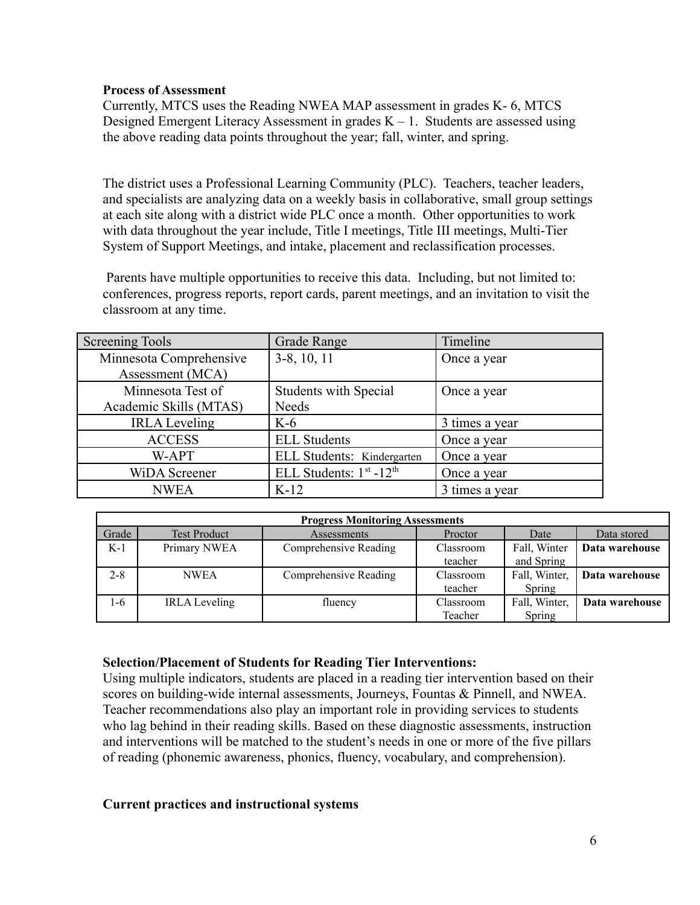### **Process of Assessment**

Currently, MTCS uses the Reading NWEA MAP assessment in grades K- 6, MTCS Designed Emergent Literacy Assessment in grades  $K - 1$ . Students are assessed using the above reading data points throughout the year; fall, winter, and spring.

The district uses a Professional Learning Community (PLC). Teachers, teacher leaders, and specialists are analyzing data on a weekly basis in collaborative, small group settings at each site along with a district wide PLC once a month. Other opportunities to work with data throughout the year include, Title I meetings, Title III meetings, Multi-Tier System of Support Meetings, and intake, placement and reclassification processes.

Parents have multiple opportunities to receive this data. Including, but not limited to: conferences, progress reports, report cards, parent meetings, and an invitation to visit the classroom at any time.

| Screening Tools         | Grade Range                  | Timeline       |
|-------------------------|------------------------------|----------------|
| Minnesota Comprehensive | $3-8$ , 10, 11               | Once a year    |
| Assessment (MCA)        |                              |                |
| Minnesota Test of       | <b>Students with Special</b> | Once a year    |
| Academic Skills (MTAS)  | Needs                        |                |
| <b>IRLA</b> Leveling    | $K-6$                        | 3 times a year |
| <b>ACCESS</b>           | <b>ELL Students</b>          | Once a year    |
| W-APT                   | ELL Students: Kindergarten   | Once a year    |
| <b>WiDA</b> Screener    | ELL Students: $1st - 12th$   | Once a year    |
| <b>NWEA</b>             | $K-12$                       | 3 times a year |

| <b>Progress Monitoring Assessments</b> |                      |                       |           |               |                |  |
|----------------------------------------|----------------------|-----------------------|-----------|---------------|----------------|--|
| Grade                                  | <b>Test Product</b>  | Assessments           | Proctor   | Date          | Data stored    |  |
| $K-1$                                  | Primary NWEA         | Comprehensive Reading | Classroom | Fall, Winter  | Data warehouse |  |
|                                        |                      |                       | teacher   | and Spring    |                |  |
| $2 - 8$                                | <b>NWEA</b>          | Comprehensive Reading | Classroom | Fall, Winter, | Data warehouse |  |
|                                        |                      |                       | teacher   | Spring        |                |  |
| 1-6                                    | <b>IRLA</b> Leveling | fluency               | Classroom | Fall, Winter, | Data warehouse |  |
|                                        |                      |                       | Teacher   | Spring        |                |  |

### **Selection/Placement of Students for Reading Tier Interventions:**

Using multiple indicators, students are placed in a reading tier intervention based on their scores on building-wide internal assessments, Journeys, Fountas & Pinnell, and NWEA. Teacher recommendations also play an important role in providing services to students who lag behind in their reading skills. Based on these diagnostic assessments, instruction and interventions will be matched to the student's needs in one or more of the five pillars of reading (phonemic awareness, phonics, fluency, vocabulary, and comprehension).

### **Current practices and instructional systems**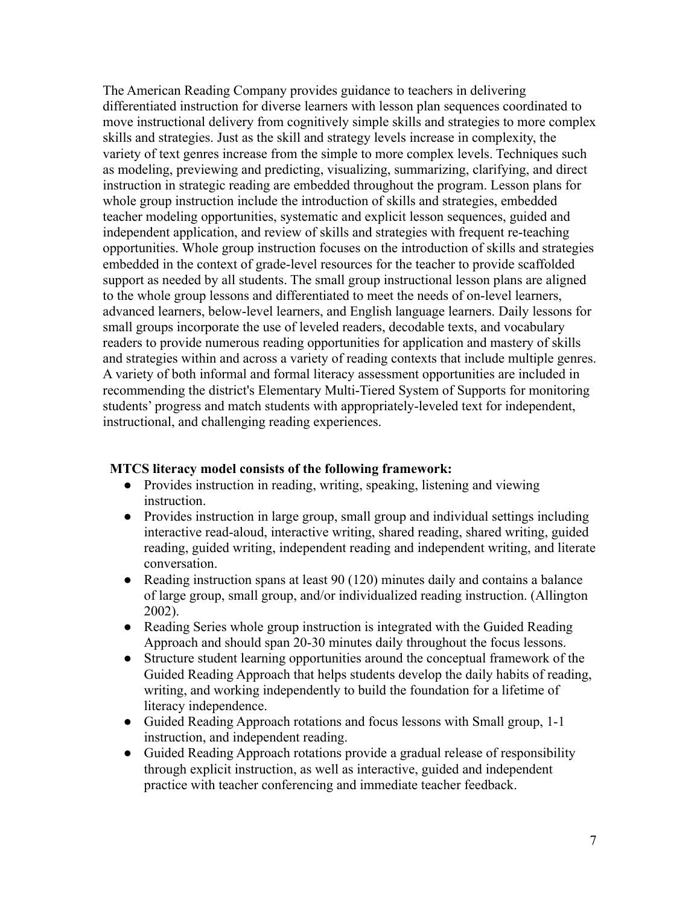The American Reading Company provides guidance to teachers in delivering differentiated instruction for diverse learners with lesson plan sequences coordinated to move instructional delivery from cognitively simple skills and strategies to more complex skills and strategies. Just as the skill and strategy levels increase in complexity, the variety of text genres increase from the simple to more complex levels. Techniques such as modeling, previewing and predicting, visualizing, summarizing, clarifying, and direct instruction in strategic reading are embedded throughout the program. Lesson plans for whole group instruction include the introduction of skills and strategies, embedded teacher modeling opportunities, systematic and explicit lesson sequences, guided and independent application, and review of skills and strategies with frequent re-teaching opportunities. Whole group instruction focuses on the introduction of skills and strategies embedded in the context of grade-level resources for the teacher to provide scaffolded support as needed by all students. The small group instructional lesson plans are aligned to the whole group lessons and differentiated to meet the needs of on-level learners, advanced learners, below-level learners, and English language learners. Daily lessons for small groups incorporate the use of leveled readers, decodable texts, and vocabulary readers to provide numerous reading opportunities for application and mastery of skills and strategies within and across a variety of reading contexts that include multiple genres. A variety of both informal and formal literacy assessment opportunities are included in recommending the district's Elementary Multi-Tiered System of Supports for monitoring students' progress and match students with appropriately-leveled text for independent, instructional, and challenging reading experiences.

### **MTCS literacy model consists of the following framework:**

- Provides instruction in reading, writing, speaking, listening and viewing instruction.
- Provides instruction in large group, small group and individual settings including interactive read-aloud, interactive writing, shared reading, shared writing, guided reading, guided writing, independent reading and independent writing, and literate conversation.
- Reading instruction spans at least 90 (120) minutes daily and contains a balance of large group, small group, and/or individualized reading instruction. (Allington 2002).
- Reading Series whole group instruction is integrated with the Guided Reading Approach and should span 20-30 minutes daily throughout the focus lessons.
- Structure student learning opportunities around the conceptual framework of the Guided Reading Approach that helps students develop the daily habits of reading, writing, and working independently to build the foundation for a lifetime of literacy independence.
- Guided Reading Approach rotations and focus lessons with Small group, 1-1 instruction, and independent reading.
- Guided Reading Approach rotations provide a gradual release of responsibility through explicit instruction, as well as interactive, guided and independent practice with teacher conferencing and immediate teacher feedback.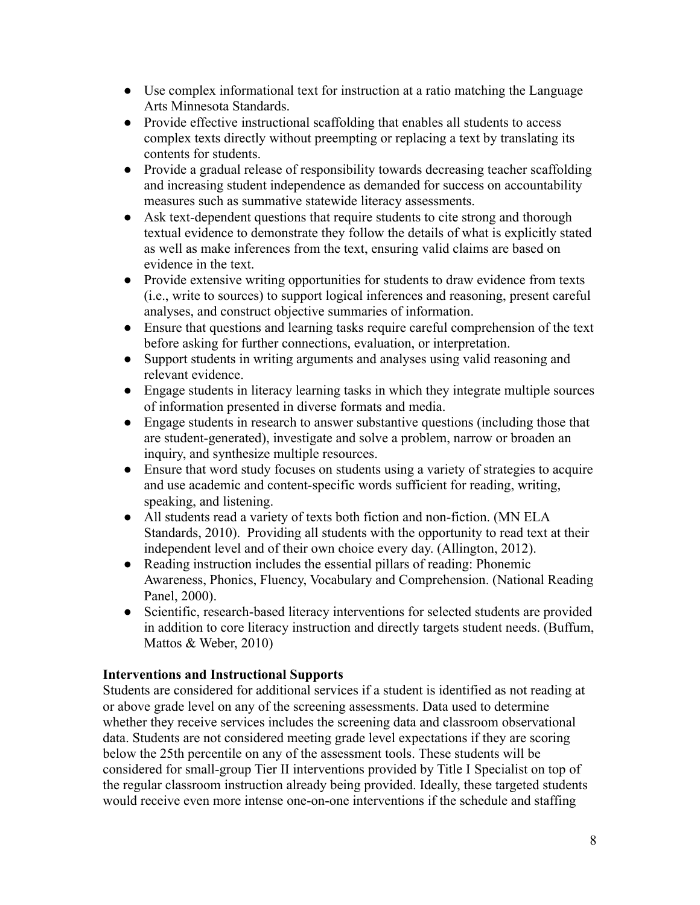- Use complex informational text for instruction at a ratio matching the Language Arts Minnesota Standards.
- Provide effective instructional scaffolding that enables all students to access complex texts directly without preempting or replacing a text by translating its contents for students.
- Provide a gradual release of responsibility towards decreasing teacher scaffolding and increasing student independence as demanded for success on accountability measures such as summative statewide literacy assessments.
- Ask text-dependent questions that require students to cite strong and thorough textual evidence to demonstrate they follow the details of what is explicitly stated as well as make inferences from the text, ensuring valid claims are based on evidence in the text.
- Provide extensive writing opportunities for students to draw evidence from texts (i.e., write to sources) to support logical inferences and reasoning, present careful analyses, and construct objective summaries of information.
- Ensure that questions and learning tasks require careful comprehension of the text before asking for further connections, evaluation, or interpretation.
- Support students in writing arguments and analyses using valid reasoning and relevant evidence.
- Engage students in literacy learning tasks in which they integrate multiple sources of information presented in diverse formats and media.
- Engage students in research to answer substantive questions (including those that are student-generated), investigate and solve a problem, narrow or broaden an inquiry, and synthesize multiple resources.
- Ensure that word study focuses on students using a variety of strategies to acquire and use academic and content-specific words sufficient for reading, writing, speaking, and listening.
- All students read a variety of texts both fiction and non-fiction. (MN ELA Standards, 2010). Providing all students with the opportunity to read text at their independent level and of their own choice every day. (Allington, 2012).
- Reading instruction includes the essential pillars of reading: Phonemic Awareness, Phonics, Fluency, Vocabulary and Comprehension. (National Reading Panel, 2000).
- Scientific, research-based literacy interventions for selected students are provided in addition to core literacy instruction and directly targets student needs. (Buffum, Mattos & Weber, 2010)

### **Interventions and Instructional Supports**

Students are considered for additional services if a student is identified as not reading at or above grade level on any of the screening assessments. Data used to determine whether they receive services includes the screening data and classroom observational data. Students are not considered meeting grade level expectations if they are scoring below the 25th percentile on any of the assessment tools. These students will be considered for small-group Tier II interventions provided by Title I Specialist on top of the regular classroom instruction already being provided. Ideally, these targeted students would receive even more intense one-on-one interventions if the schedule and staffing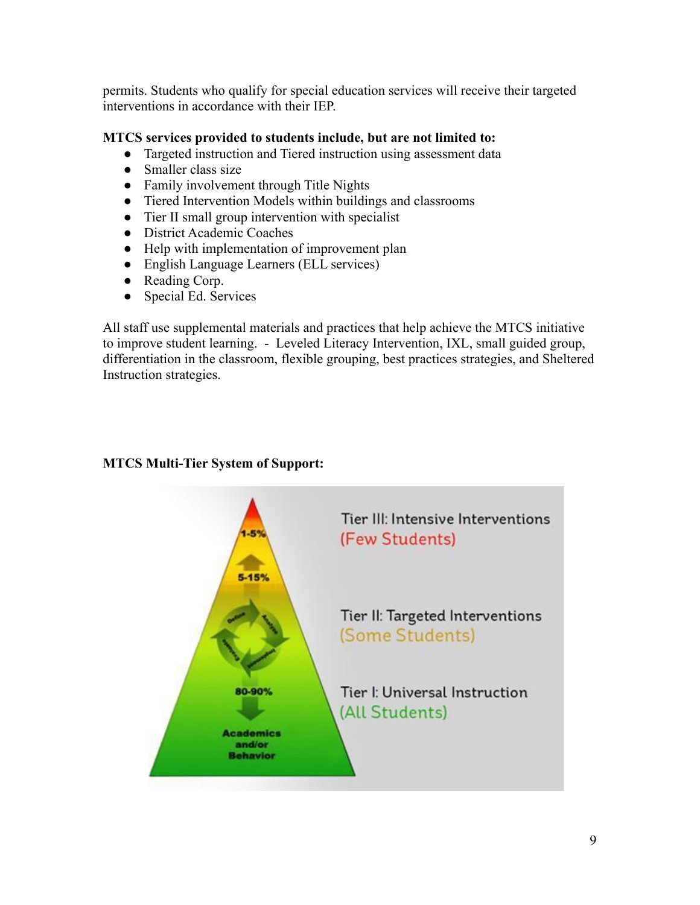permits. Students who qualify for special education services will receive their targeted interventions in accordance with their IEP.

### **MTCS services provided to students include, but are not limited to:**

- Targeted instruction and Tiered instruction using assessment data
- Smaller class size
- Family involvement through Title Nights
- Tiered Intervention Models within buildings and classrooms
- Tier II small group intervention with specialist
- District Academic Coaches
- Help with implementation of improvement plan
- English Language Learners (ELL services)
- Reading Corp.
- Special Ed. Services

All staff use supplemental materials and practices that help achieve the MTCS initiative to improve student learning. - Leveled Literacy Intervention, IXL, small guided group, differentiation in the classroom, flexible grouping, best practices strategies, and Sheltered Instruction strategies.

# Tier III: Intensive Interventions (Few Students) 5-15% Tier II: Targeted Interventions (Some Students) Tier I: Universal Instruction 80-90% (All Students) cademics and/or **Behavior**

### **MTCS Multi-Tier System of Support:**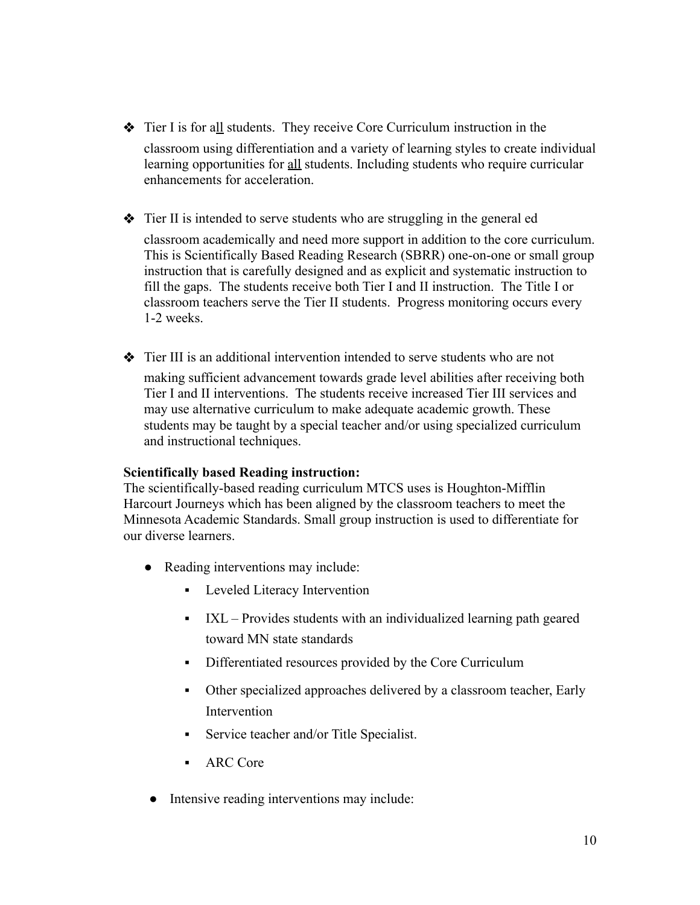- ❖ Tier I is for all students. They receive Core Curriculum instruction in the classroom using differentiation and a variety of learning styles to create individual learning opportunities for all students. Including students who require curricular enhancements for acceleration.
- ❖ Tier II is intended to serve students who are struggling in the general ed

classroom academically and need more support in addition to the core curriculum. This is Scientifically Based Reading Research (SBRR) one-on-one or small group instruction that is carefully designed and as explicit and systematic instruction to fill the gaps. The students receive both Tier I and II instruction. The Title I or classroom teachers serve the Tier II students. Progress monitoring occurs every 1-2 weeks.

❖ Tier III is an additional intervention intended to serve students who are not making sufficient advancement towards grade level abilities after receiving both Tier I and II interventions. The students receive increased Tier III services and may use alternative curriculum to make adequate academic growth. These students may be taught by a special teacher and/or using specialized curriculum and instructional techniques.

### **Scientifically based Reading instruction:**

The scientifically-based reading curriculum MTCS uses is Houghton-Mifflin Harcourt Journeys which has been aligned by the classroom teachers to meet the Minnesota Academic Standards. Small group instruction is used to differentiate for our diverse learners.

- Reading interventions may include:
	- **•** Leveled Literacy Intervention
	- IXL Provides students with an individualized learning path geared toward MN state standards
	- Differentiated resources provided by the Core Curriculum
	- Other specialized approaches delivered by a classroom teacher, Early Intervention
	- **•** Service teacher and/or Title Specialist.
	- ARC Core
- Intensive reading interventions may include: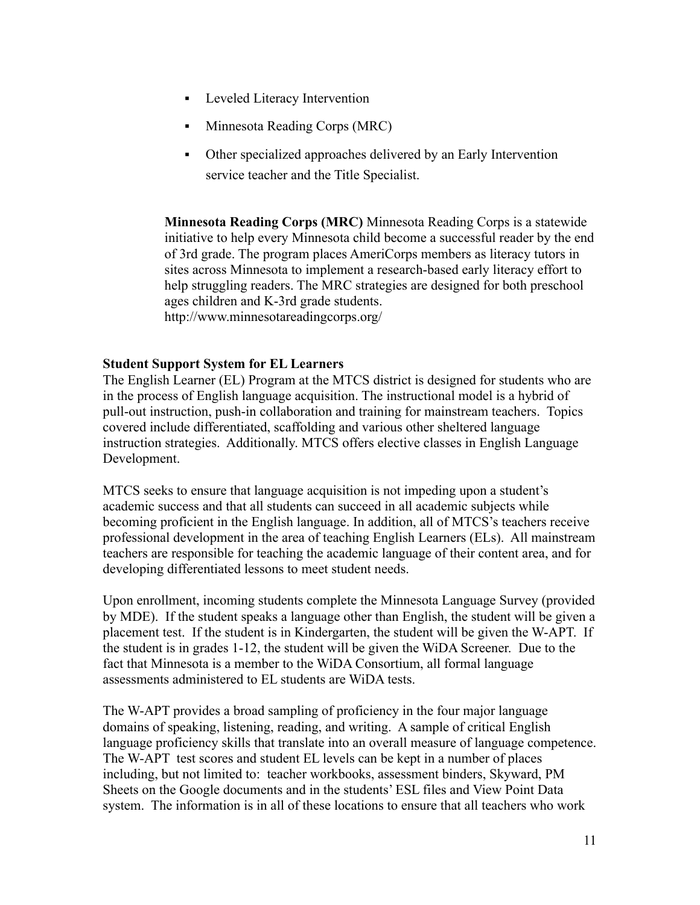- **•** Leveled Literacy Intervention
- Minnesota Reading Corps (MRC)
- Other specialized approaches delivered by an Early Intervention service teacher and the Title Specialist.

**Minnesota Reading Corps (MRC)** Minnesota Reading Corps is a statewide initiative to help every Minnesota child become a successful reader by the end of 3rd grade. The program places AmeriCorps members as literacy tutors in sites across Minnesota to implement a research-based early literacy effort to help struggling readers. The MRC strategies are designed for both preschool ages children and K-3rd grade students. http://www.minnesotareadingcorps.org/

### **Student Support System for EL Learners**

The English Learner (EL) Program at the MTCS district is designed for students who are in the process of English language acquisition. The instructional model is a hybrid of pull-out instruction, push-in collaboration and training for mainstream teachers. Topics covered include differentiated, scaffolding and various other sheltered language instruction strategies. Additionally. MTCS offers elective classes in English Language Development.

MTCS seeks to ensure that language acquisition is not impeding upon a student's academic success and that all students can succeed in all academic subjects while becoming proficient in the English language. In addition, all of MTCS's teachers receive professional development in the area of teaching English Learners (ELs). All mainstream teachers are responsible for teaching the academic language of their content area, and for developing differentiated lessons to meet student needs.

Upon enrollment, incoming students complete the Minnesota Language Survey (provided by MDE). If the student speaks a language other than English, the student will be given a placement test. If the student is in Kindergarten, the student will be given the W-APT. If the student is in grades 1-12, the student will be given the WiDA Screener. Due to the fact that Minnesota is a member to the WiDA Consortium, all formal language assessments administered to EL students are WiDA tests.

The W-APT provides a broad sampling of proficiency in the four major language domains of speaking, listening, reading, and writing. A sample of critical English language proficiency skills that translate into an overall measure of language competence. The W-APT test scores and student EL levels can be kept in a number of places including, but not limited to: teacher workbooks, assessment binders, Skyward, PM Sheets on the Google documents and in the students' ESL files and View Point Data system. The information is in all of these locations to ensure that all teachers who work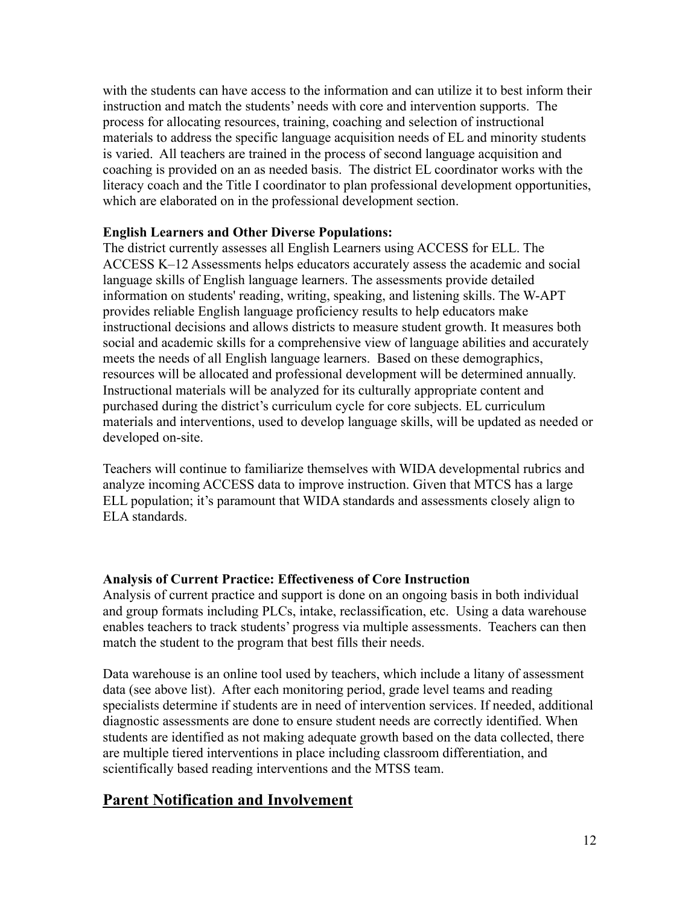with the students can have access to the information and can utilize it to best inform their instruction and match the students' needs with core and intervention supports. The process for allocating resources, training, coaching and selection of instructional materials to address the specific language acquisition needs of EL and minority students is varied. All teachers are trained in the process of second language acquisition and coaching is provided on an as needed basis. The district EL coordinator works with the literacy coach and the Title I coordinator to plan professional development opportunities, which are elaborated on in the professional development section.

### **English Learners and Other Diverse Populations:**

The district currently assesses all English Learners using ACCESS for ELL. The ACCESS K–12 Assessments helps educators accurately assess the academic and social language skills of English language learners. The assessments provide detailed information on students' reading, writing, speaking, and listening skills. The W-APT provides reliable English language proficiency results to help educators make instructional decisions and allows districts to measure student growth. It measures both social and academic skills for a comprehensive view of language abilities and accurately meets the needs of all English language learners. Based on these demographics, resources will be allocated and professional development will be determined annually. Instructional materials will be analyzed for its culturally appropriate content and purchased during the district's curriculum cycle for core subjects. EL curriculum materials and interventions, used to develop language skills, will be updated as needed or developed on-site.

Teachers will continue to familiarize themselves with WIDA developmental rubrics and analyze incoming ACCESS data to improve instruction. Given that MTCS has a large ELL population; it's paramount that WIDA standards and assessments closely align to ELA standards.

### **Analysis of Current Practice: Effectiveness of Core Instruction**

Analysis of current practice and support is done on an ongoing basis in both individual and group formats including PLCs, intake, reclassification, etc. Using a data warehouse enables teachers to track students' progress via multiple assessments. Teachers can then match the student to the program that best fills their needs.

Data warehouse is an online tool used by teachers, which include a litany of assessment data (see above list). After each monitoring period, grade level teams and reading specialists determine if students are in need of intervention services. If needed, additional diagnostic assessments are done to ensure student needs are correctly identified. When students are identified as not making adequate growth based on the data collected, there are multiple tiered interventions in place including classroom differentiation, and scientifically based reading interventions and the MTSS team.

## **Parent Notification and Involvement**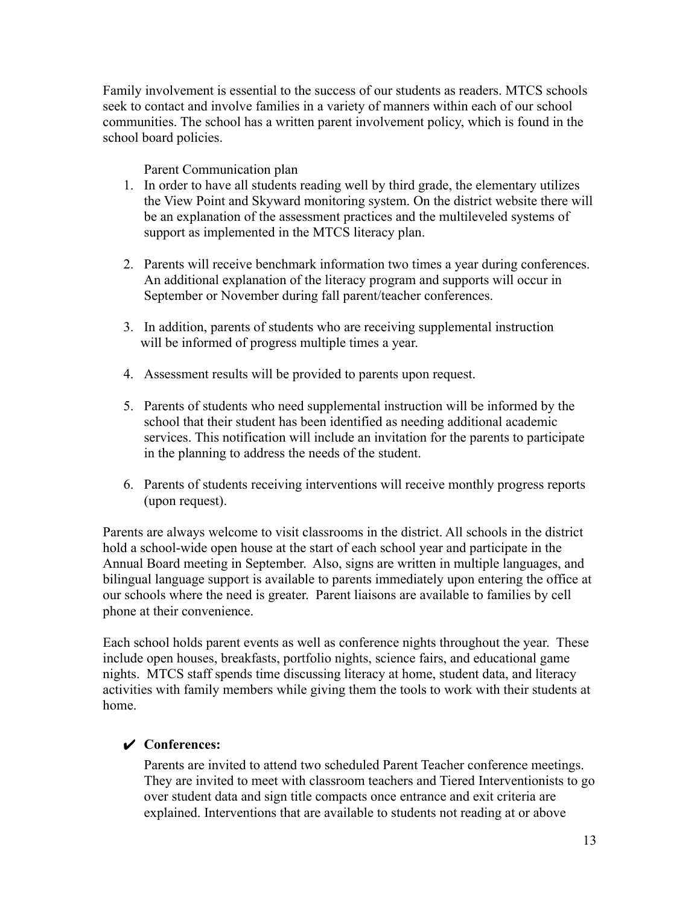Family involvement is essential to the success of our students as readers. MTCS schools seek to contact and involve families in a variety of manners within each of our school communities. The school has a written parent involvement policy, which is found in the school board policies.

Parent Communication plan

- 1. In order to have all students reading well by third grade, the elementary utilizes the View Point and Skyward monitoring system. On the district website there will be an explanation of the assessment practices and the multileveled systems of support as implemented in the MTCS literacy plan.
- 2. Parents will receive benchmark information two times a year during conferences. An additional explanation of the literacy program and supports will occur in September or November during fall parent/teacher conferences.
- 3. In addition, parents of students who are receiving supplemental instruction will be informed of progress multiple times a year.
- 4. Assessment results will be provided to parents upon request.
- 5. Parents of students who need supplemental instruction will be informed by the school that their student has been identified as needing additional academic services. This notification will include an invitation for the parents to participate in the planning to address the needs of the student.
- 6. Parents of students receiving interventions will receive monthly progress reports (upon request).

Parents are always welcome to visit classrooms in the district. All schools in the district hold a school-wide open house at the start of each school year and participate in the Annual Board meeting in September. Also, signs are written in multiple languages, and bilingual language support is available to parents immediately upon entering the office at our schools where the need is greater. Parent liaisons are available to families by cell phone at their convenience.

Each school holds parent events as well as conference nights throughout the year. These include open houses, breakfasts, portfolio nights, science fairs, and educational game nights. MTCS staff spends time discussing literacy at home, student data, and literacy activities with family members while giving them the tools to work with their students at home.

### ✔ **Conferences:**

Parents are invited to attend two scheduled Parent Teacher conference meetings. They are invited to meet with classroom teachers and Tiered Interventionists to go over student data and sign title compacts once entrance and exit criteria are explained. Interventions that are available to students not reading at or above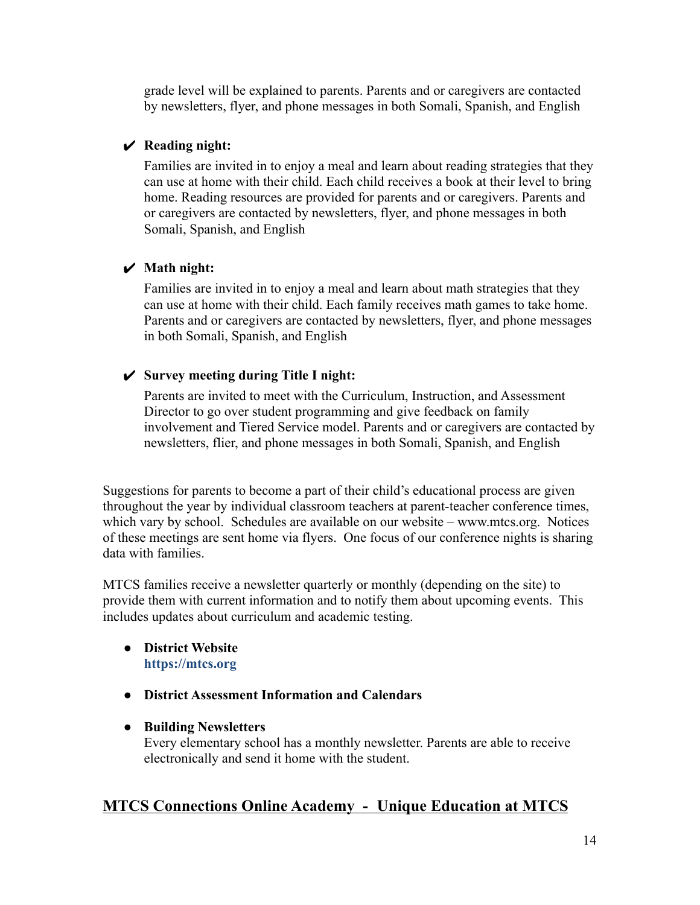grade level will be explained to parents. Parents and or caregivers are contacted by newsletters, flyer, and phone messages in both Somali, Spanish, and English

### ✔ **Reading night:**

Families are invited in to enjoy a meal and learn about reading strategies that they can use at home with their child. Each child receives a book at their level to bring home. Reading resources are provided for parents and or caregivers. Parents and or caregivers are contacted by newsletters, flyer, and phone messages in both Somali, Spanish, and English

### ✔ **Math night:**

Families are invited in to enjoy a meal and learn about math strategies that they can use at home with their child. Each family receives math games to take home. Parents and or caregivers are contacted by newsletters, flyer, and phone messages in both Somali, Spanish, and English

### ✔ **Survey meeting during Title I night:**

Parents are invited to meet with the Curriculum, Instruction, and Assessment Director to go over student programming and give feedback on family involvement and Tiered Service model. Parents and or caregivers are contacted by newsletters, flier, and phone messages in both Somali, Spanish, and English

Suggestions for parents to become a part of their child's educational process are given throughout the year by individual classroom teachers at parent-teacher conference times, which vary by school. Schedules are available on our website – www.mtcs.org. Notices of these meetings are sent home via flyers. One focus of our conference nights is sharing data with families.

MTCS families receive a newsletter quarterly or monthly (depending on the site) to provide them with current information and to notify them about upcoming events. This includes updates about curriculum and academic testing.

### ● **District Website <https://mtcs.org>**

● **District Assessment Information and Calendars**

### ● **Building Newsletters**

Every elementary school has a monthly newsletter. Parents are able to receive electronically and send it home with the student.

## **MTCS Connections Online Academy - Unique Education at MTCS**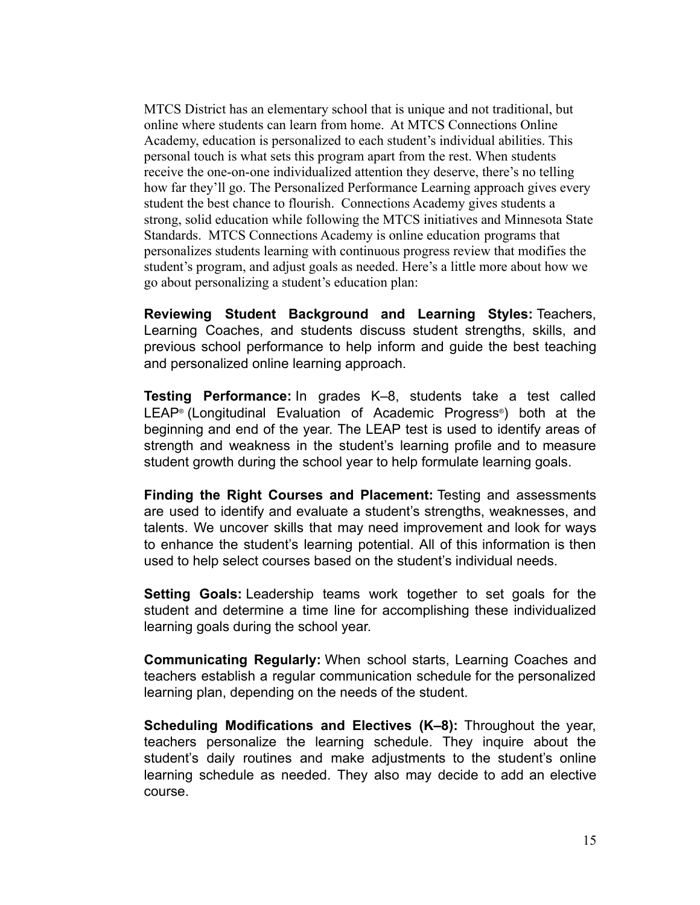MTCS District has an elementary school that is unique and not traditional, but online where students can learn from home. At MTCS Connections Online Academy, education is personalized to each student's individual abilities. This personal touch is what sets this program apart from the rest. When students receive the one-on-one individualized attention they deserve, there's no telling how far they'll go. The Personalized Performance Learning approach gives every student the best chance to flourish. Connections Academy gives students a strong, solid education while following the MTCS initiatives and Minnesota State Standards. MTCS Connections Academy is online education programs that personalizes students learning with continuous progress review that modifies the student's program, and adjust goals as needed. Here's a little more about how we go about personalizing a student's education plan:

**Reviewing Student Background and Learning Styles:** Teachers, Learning Coaches, and students discuss student strengths, skills, and previous school performance to help inform and guide the best teaching and personalized online learning approach.

**Testing Performance:** In grades K–8, students take a test called LEAP® (Longitudinal Evaluation of Academic Progress®) both at the beginning and end of the year. The LEAP test is used to identify areas of strength and weakness in the student's learning profile and to measure student growth during the school year to help formulate learning goals.

**Finding the Right Courses and Placement:** Testing and assessments are used to identify and evaluate a student's strengths, weaknesses, and talents. We uncover skills that may need improvement and look for ways to enhance the student's learning potential. All of this information is then used to help select courses based on the student's individual needs.

**Setting Goals:** Leadership teams work together to set goals for the student and determine a time line for accomplishing these individualized learning goals during the school year.

**Communicating Regularly:** When school starts, Learning Coaches and teachers establish a regular communication schedule for the personalized learning plan, depending on the needs of the student.

**Scheduling Modifications and Electives (K–8):** Throughout the year, teachers personalize the learning schedule. They inquire about the student's daily routines and make adjustments to the student's online learning schedule as needed. They also may decide to add an elective course.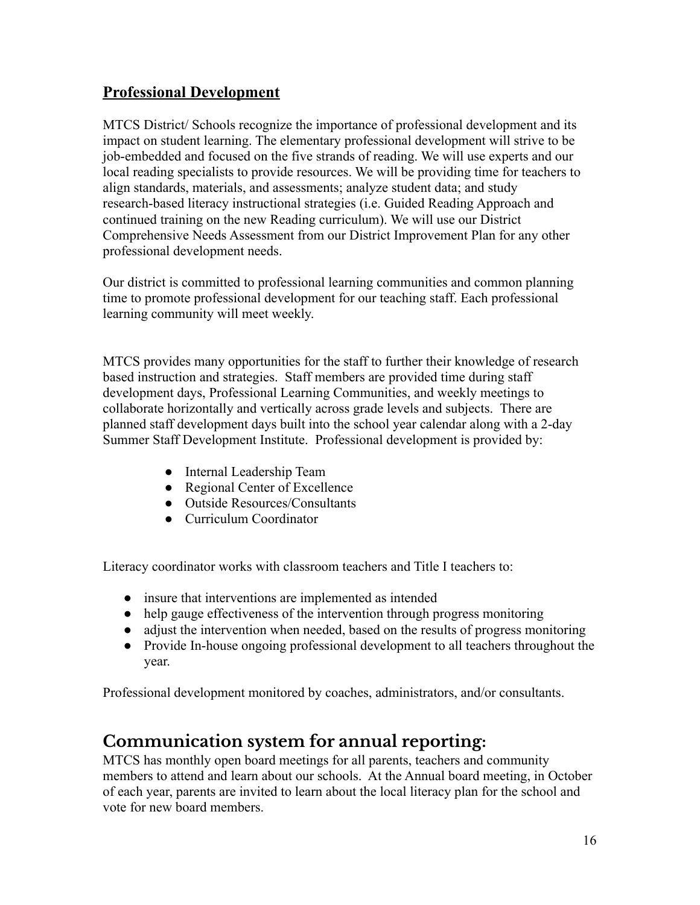## **Professional Development**

MTCS District/ Schools recognize the importance of professional development and its impact on student learning. The elementary professional development will strive to be job-embedded and focused on the five strands of reading. We will use experts and our local reading specialists to provide resources. We will be providing time for teachers to align standards, materials, and assessments; analyze student data; and study research-based literacy instructional strategies (i.e. Guided Reading Approach and continued training on the new Reading curriculum). We will use our District Comprehensive Needs Assessment from our District Improvement Plan for any other professional development needs.

Our district is committed to professional learning communities and common planning time to promote professional development for our teaching staff. Each professional learning community will meet weekly.

MTCS provides many opportunities for the staff to further their knowledge of research based instruction and strategies. Staff members are provided time during staff development days, Professional Learning Communities, and weekly meetings to collaborate horizontally and vertically across grade levels and subjects. There are planned staff development days built into the school year calendar along with a 2-day Summer Staff Development Institute. Professional development is provided by:

- Internal Leadership Team
- Regional Center of Excellence
- Outside Resources/Consultants
- Curriculum Coordinator

Literacy coordinator works with classroom teachers and Title I teachers to:

- insure that interventions are implemented as intended
- help gauge effectiveness of the intervention through progress monitoring
- adjust the intervention when needed, based on the results of progress monitoring
- Provide In-house ongoing professional development to all teachers throughout the year.

Professional development monitored by coaches, administrators, and/or consultants.

# **Communication system for annual reporting:**

MTCS has monthly open board meetings for all parents, teachers and community members to attend and learn about our schools. At the Annual board meeting, in October of each year, parents are invited to learn about the local literacy plan for the school and vote for new board members.